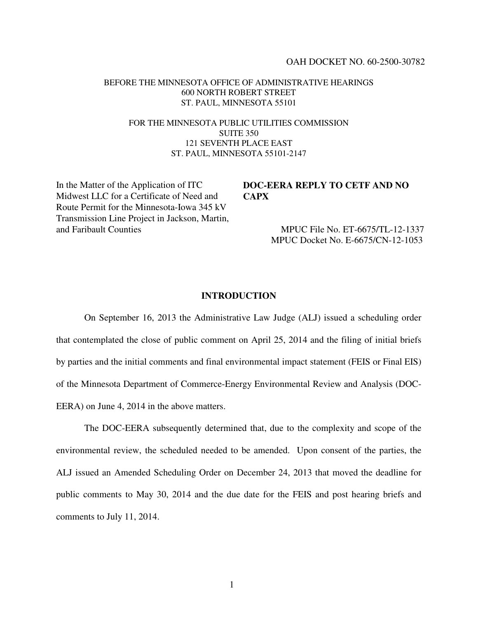### OAH DOCKET NO. 60-2500-30782

### BEFORE THE MINNESOTA OFFICE OF ADMINISTRATIVE HEARINGS 600 NORTH ROBERT STREET ST. PAUL, MINNESOTA 55101

## FOR THE MINNESOTA PUBLIC UTILITIES COMMISSION SUITE 350 121 SEVENTH PLACE EAST ST. PAUL, MINNESOTA 55101-2147

In the Matter of the Application of ITC Midwest LLC for a Certificate of Need and Route Permit for the Minnesota-Iowa 345 kV Transmission Line Project in Jackson, Martin, and Faribault Counties

# **DOC-EERA REPLY TO CETF AND NO CAPX**

MPUC File No. ET-6675/TL-12-1337 MPUC Docket No. E-6675/CN-12-1053

## **INTRODUCTION**

On September 16, 2013 the Administrative Law Judge (ALJ) issued a scheduling order that contemplated the close of public comment on April 25, 2014 and the filing of initial briefs by parties and the initial comments and final environmental impact statement (FEIS or Final EIS) of the Minnesota Department of Commerce-Energy Environmental Review and Analysis (DOC-EERA) on June 4, 2014 in the above matters.

The DOC-EERA subsequently determined that, due to the complexity and scope of the environmental review, the scheduled needed to be amended. Upon consent of the parties, the ALJ issued an Amended Scheduling Order on December 24, 2013 that moved the deadline for public comments to May 30, 2014 and the due date for the FEIS and post hearing briefs and comments to July 11, 2014.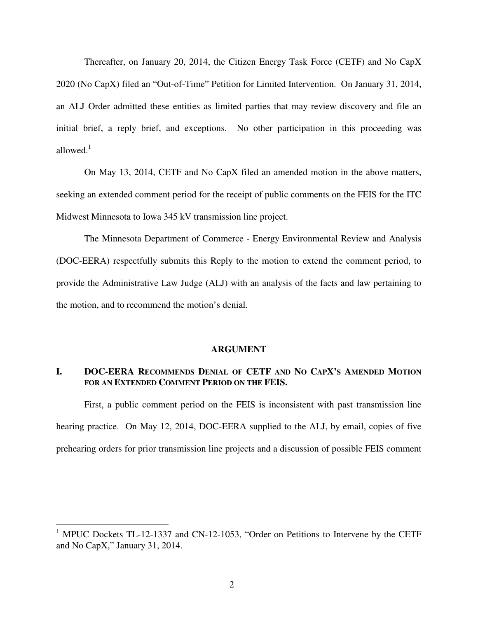Thereafter, on January 20, 2014, the Citizen Energy Task Force (CETF) and No CapX 2020 (No CapX) filed an "Out-of-Time" Petition for Limited Intervention. On January 31, 2014, an ALJ Order admitted these entities as limited parties that may review discovery and file an initial brief, a reply brief, and exceptions. No other participation in this proceeding was allowed. $1$ 

On May 13, 2014, CETF and No CapX filed an amended motion in the above matters, seeking an extended comment period for the receipt of public comments on the FEIS for the ITC Midwest Minnesota to Iowa 345 kV transmission line project.

The Minnesota Department of Commerce - Energy Environmental Review and Analysis (DOC-EERA) respectfully submits this Reply to the motion to extend the comment period, to provide the Administrative Law Judge (ALJ) with an analysis of the facts and law pertaining to the motion, and to recommend the motion's denial.

### **ARGUMENT**

# **I. DOC-EERA RECOMMENDS DENIAL OF CETF AND NO CAPX'S AMENDED MOTION FOR AN EXTENDED COMMENT PERIOD ON THE FEIS.**

First, a public comment period on the FEIS is inconsistent with past transmission line hearing practice. On May 12, 2014, DOC-EERA supplied to the ALJ, by email, copies of five prehearing orders for prior transmission line projects and a discussion of possible FEIS comment

<sup>&</sup>lt;sup>1</sup> MPUC Dockets TL-12-1337 and CN-12-1053, "Order on Petitions to Intervene by the CETF and No CapX," January 31, 2014.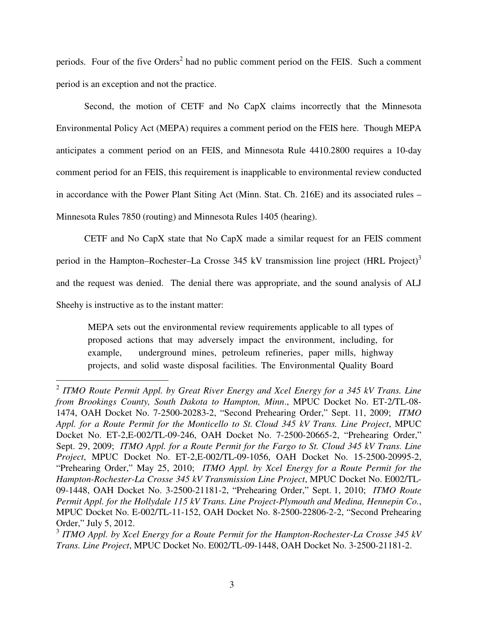periods. Four of the five Orders<sup>2</sup> had no public comment period on the FEIS. Such a comment period is an exception and not the practice.

Second, the motion of CETF and No CapX claims incorrectly that the Minnesota Environmental Policy Act (MEPA) requires a comment period on the FEIS here. Though MEPA anticipates a comment period on an FEIS, and Minnesota Rule 4410.2800 requires a 10-day comment period for an FEIS, this requirement is inapplicable to environmental review conducted in accordance with the Power Plant Siting Act (Minn. Stat. Ch. 216E) and its associated rules – Minnesota Rules 7850 (routing) and Minnesota Rules 1405 (hearing).

CETF and No CapX state that No CapX made a similar request for an FEIS comment period in the Hampton–Rochester–La Crosse 345 kV transmission line project (HRL Project)<sup>3</sup> and the request was denied. The denial there was appropriate, and the sound analysis of ALJ Sheehy is instructive as to the instant matter:

MEPA sets out the environmental review requirements applicable to all types of proposed actions that may adversely impact the environment, including, for example, underground mines, petroleum refineries, paper mills, highway projects, and solid waste disposal facilities. The Environmental Quality Board

 2 *ITMO Route Permit Appl. by Great River Energy and Xcel Energy for a 345 kV Trans. Line from Brookings County, South Dakota to Hampton, Minn*., MPUC Docket No. ET-2/TL-08- 1474, OAH Docket No. 7-2500-20283-2, "Second Prehearing Order," Sept. 11, 2009; *ITMO Appl. for a Route Permit for the Monticello to St. Cloud 345 kV Trans. Line Project*, MPUC Docket No. ET-2,E-002/TL-09-246, OAH Docket No. 7-2500-20665-2, "Prehearing Order," Sept. 29, 2009; *ITMO Appl. for a Route Permit for the Fargo to St. Cloud 345 kV Trans. Line Project*, MPUC Docket No. ET-2,E-002/TL-09-1056, OAH Docket No. 15-2500-20995-2, "Prehearing Order," May 25, 2010; *ITMO Appl. by Xcel Energy for a Route Permit for the Hampton-Rochester-La Crosse 345 kV Transmission Line Project*, MPUC Docket No. E002/TL-09-1448, OAH Docket No. 3-2500-21181-2, "Prehearing Order," Sept. 1, 2010; *ITMO Route Permit Appl. for the Hollydale 115 kV Trans. Line Project-Plymouth and Medina, Hennepin Co.*, MPUC Docket No. E-002/TL-11-152, OAH Docket No. 8-2500-22806-2-2, "Second Prehearing Order," July 5, 2012.

<sup>3</sup> *ITMO Appl. by Xcel Energy for a Route Permit for the Hampton-Rochester-La Crosse 345 kV Trans. Line Project*, MPUC Docket No. E002/TL-09-1448, OAH Docket No. 3-2500-21181-2.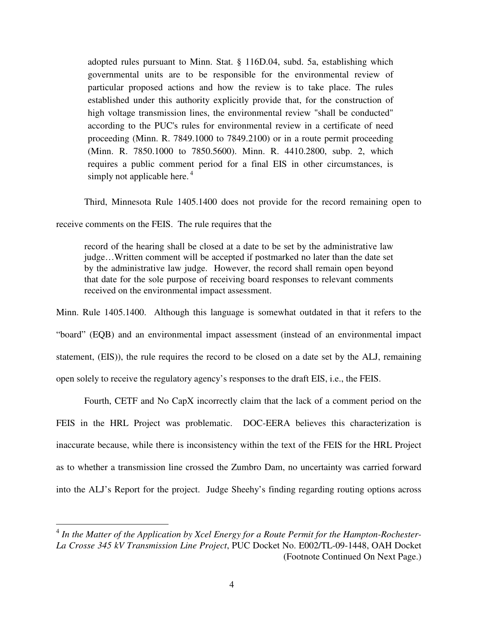adopted rules pursuant to Minn. Stat. § 116D.04, subd. 5a, establishing which governmental units are to be responsible for the environmental review of particular proposed actions and how the review is to take place. The rules established under this authority explicitly provide that, for the construction of high voltage transmission lines, the environmental review "shall be conducted" according to the PUC's rules for environmental review in a certificate of need proceeding (Minn. R. 7849.1000 to 7849.2100) or in a route permit proceeding (Minn. R. 7850.1000 to 7850.5600). Minn. R. 4410.2800, subp. 2, which requires a public comment period for a final EIS in other circumstances, is simply not applicable here.<sup>4</sup>

Third, Minnesota Rule 1405.1400 does not provide for the record remaining open to

receive comments on the FEIS. The rule requires that the

<u>.</u>

record of the hearing shall be closed at a date to be set by the administrative law judge…Written comment will be accepted if postmarked no later than the date set by the administrative law judge. However, the record shall remain open beyond that date for the sole purpose of receiving board responses to relevant comments received on the environmental impact assessment.

Minn. Rule 1405.1400. Although this language is somewhat outdated in that it refers to the "board" (EQB) and an environmental impact assessment (instead of an environmental impact statement, (EIS)), the rule requires the record to be closed on a date set by the ALJ, remaining open solely to receive the regulatory agency's responses to the draft EIS, i.e., the FEIS.

Fourth, CETF and No CapX incorrectly claim that the lack of a comment period on the FEIS in the HRL Project was problematic. DOC-EERA believes this characterization is inaccurate because, while there is inconsistency within the text of the FEIS for the HRL Project as to whether a transmission line crossed the Zumbro Dam, no uncertainty was carried forward into the ALJ's Report for the project. Judge Sheehy's finding regarding routing options across

<sup>&</sup>lt;sup>4</sup> In the Matter of the Application by Xcel Energy for a Route Permit for the Hampton-Rochester-*La Crosse 345 kV Transmission Line Project*, PUC Docket No. E002/TL-09-1448, OAH Docket (Footnote Continued On Next Page.)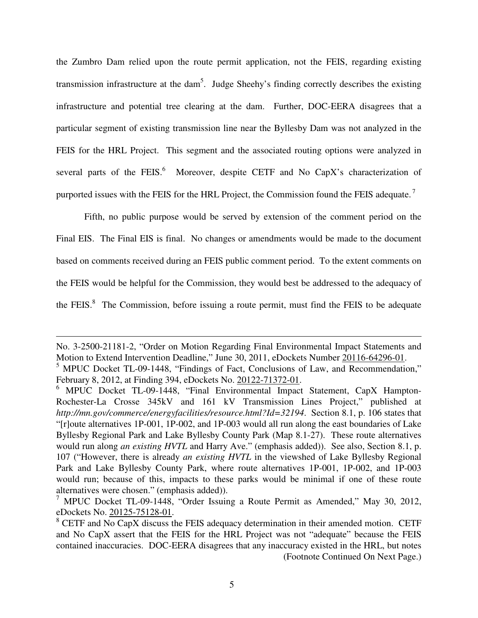the Zumbro Dam relied upon the route permit application, not the FEIS, regarding existing transmission infrastructure at the dam<sup>5</sup>. Judge Sheehy's finding correctly describes the existing infrastructure and potential tree clearing at the dam. Further, DOC-EERA disagrees that a particular segment of existing transmission line near the Byllesby Dam was not analyzed in the FEIS for the HRL Project. This segment and the associated routing options were analyzed in several parts of the FEIS. $^{6}$  Moreover, despite CETF and No CapX's characterization of purported issues with the FEIS for the HRL Project, the Commission found the FEIS adequate.<sup>7</sup>

Fifth, no public purpose would be served by extension of the comment period on the Final EIS. The Final EIS is final. No changes or amendments would be made to the document based on comments received during an FEIS public comment period. To the extent comments on the FEIS would be helpful for the Commission, they would best be addressed to the adequacy of the FEIS. ${}^{8}$  The Commission, before issuing a route permit, must find the FEIS to be adequate

 $\overline{a}$ 

No. 3-2500-21181-2, "Order on Motion Regarding Final Environmental Impact Statements and Motion to Extend Intervention Deadline," June 30, 2011, eDockets Number 20116-64296-01.

<sup>&</sup>lt;sup>5</sup> MPUC Docket TL-09-1448, "Findings of Fact, Conclusions of Law, and Recommendation," February 8, 2012, at Finding 394, eDockets No. 20122-71372-01.

<sup>&</sup>lt;sup>6</sup> MPUC Docket TL-09-1448, "Final Environmental Impact Statement, CapX Hampton-Rochester-La Crosse 345kV and 161 kV Transmission Lines Project," published at *http://mn.gov/commerce/energyfacilities/resource.html?Id=32194*. Section 8.1, p. 106 states that "[r]oute alternatives 1P-001, 1P-002, and 1P-003 would all run along the east boundaries of Lake Byllesby Regional Park and Lake Byllesby County Park (Map 8.1-27). These route alternatives would run along *an existing HVTL* and Harry Ave." (emphasis added)). See also, Section 8.1, p. 107 ("However, there is already *an existing HVTL* in the viewshed of Lake Byllesby Regional Park and Lake Byllesby County Park, where route alternatives 1P-001, 1P-002, and 1P-003 would run; because of this, impacts to these parks would be minimal if one of these route alternatives were chosen." (emphasis added)).

<sup>&</sup>lt;sup>7</sup> MPUC Docket TL-09-1448, "Order Issuing a Route Permit as Amended," May 30, 2012, eDockets No. 20125-75128-01.

 $8$  CETF and No CapX discuss the FEIS adequacy determination in their amended motion. CETF and No CapX assert that the FEIS for the HRL Project was not "adequate" because the FEIS contained inaccuracies. DOC-EERA disagrees that any inaccuracy existed in the HRL, but notes (Footnote Continued On Next Page.)